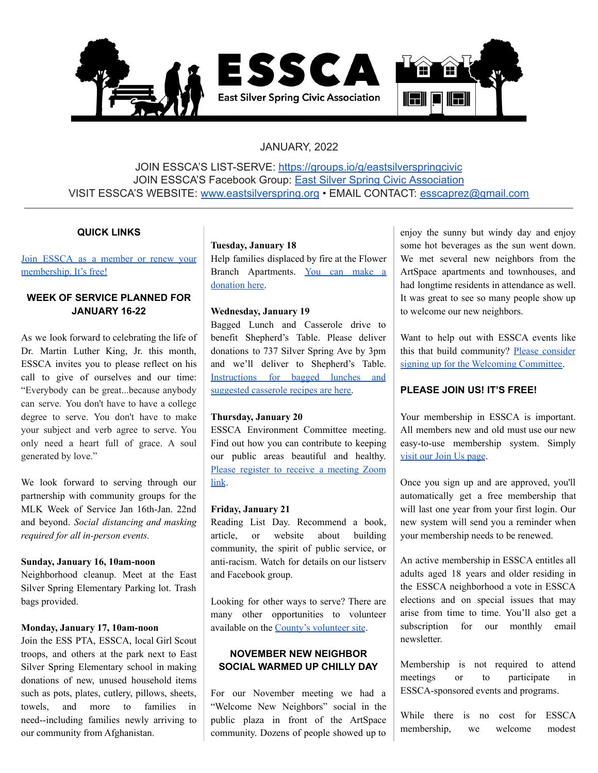

# JANUARY, 2022

JOIN ESSCA'S LIST-SERVE: <https://groups.io/g/eastsilverspringcivic> JOIN ESSCA'S Facebook Group: East Silver Spring Civic [Association](https://www.facebook.com/groups/EastSilverSpringCitizensAssociation) VISIT ESSCA'S WEBSITE: [www.eastsilverspring.org](http://www.eastsilverspring.org) • EMAIL CONTACT: [esscaprez@gmail.com](mailto:esscaprez@gmail.com)

## **QUICK LINKS**

Join ESSCA as a [member](https://www.eastsilverspring.org/join) or renew your [membership.](https://www.eastsilverspring.org/join) It's free!

# **WEEK OF SERVICE PLANNED FOR JANUARY 16-22**

As we look forward to celebrating the life of Dr. Martin Luther King, Jr. this month, ESSCA invites you to please reflect on his call to give of ourselves and our time: "Everybody can be great...because anybody can serve. You don't have to have a college degree to serve. You don't have to make your subject and verb agree to serve. You only need a heart full of grace. A soul generated by love."

We look forward to serving through our partnership with community groups for the MLK Week of Service Jan 16th-Jan. 22nd and beyond. *Social distancing and masking required for all in-person events.*

#### **Sunday, January 16, 10am-noon**

Neighborhood cleanup. Meet at the East Silver Spring Elementary Parking lot. Trash bags provided.

# **Monday, January 17, 10am-noon**

Join the ESS PTA, ESSCA, local Girl Scout troops, and others at the park next to East Silver Spring Elementary school in making donations of new, unused household items such as pots, plates, cutlery, pillows, sheets, towels, and more to families in need--including families newly arriving to our community from Afghanistan.

#### **Tuesday, January 18**

Help families displaced by fire at the Flower Branch Apartments. You can [make](https://mhpartners.org/helpflowerbranchfamilies2022/) a [donation](https://mhpartners.org/helpflowerbranchfamilies2022/) here.

## **Wednesday, January 19**

Bagged Lunch and Casserole drive to benefit Shepherd's Table. Please deliver donations to 737 Silver Spring Ave by 3pm and we'll deliver to Shepherd's Table. [Instructions](https://drive.google.com/file/d/11-ivoN9o9UMz-2l-xGMLqa0z-3QdsHXL/view) for bagged lunches and [suggested](https://drive.google.com/file/d/11-ivoN9o9UMz-2l-xGMLqa0z-3QdsHXL/view) casserole recipes are here.

#### **Thursday, January 20**

ESSCA Environment Committee meeting. Find out how you can contribute to keeping our public areas beautiful and healthy. Please register to receive a [meeting](https://docs.google.com/forms/d/e/1FAIpQLSdDD2LWl2DuUfqv5797EpzOd190Mnj8k-neKpDP60QNXwkf6w/viewform?fbclid=IwAR1ps09cuiuBz_eDpGgDAXQAMj4VKbBPRf1NtLKOOPbqmYAjw0_YisICaNA) Zoom [link](https://docs.google.com/forms/d/e/1FAIpQLSdDD2LWl2DuUfqv5797EpzOd190Mnj8k-neKpDP60QNXwkf6w/viewform?fbclid=IwAR1ps09cuiuBz_eDpGgDAXQAMj4VKbBPRf1NtLKOOPbqmYAjw0_YisICaNA).

#### **Friday, January 21**

Reading List Day. Recommend a book, article, or website about building community, the spirit of public service, or anti-racism. Watch for details on our listserv and Facebook group.

Looking for other ways to serve? There are many other opportunities to volunteer available on the County's [volunteer](https://www.montgomerycountymd.gov/volunteercenter/volunteers/MLK.html) site.

# **NOVEMBER NEW NEIGHBOR SOCIAL WARMED UP CHILLY DAY**

For our November meeting we had a "Welcome New Neighbors" social in the public plaza in front of the ArtSpace community. Dozens of people showed up to

enjoy the sunny but windy day and enjoy some hot beverages as the sun went down. We met several new neighbors from the ArtSpace apartments and townhouses, and had longtime residents in attendance as well. It was great to see so many people show up to welcome our new neighbors.

Want to help out with ESSCA events like this that build community? Please [consider](https://forms.gle/RD7SybR2ADfBE8B66) signing up for the [Welcoming](https://forms.gle/RD7SybR2ADfBE8B66) Committee.

## **PLEASE JOIN US! IT'S FREE!**

Your membership in ESSCA is important. All members new and old must use our new easy-to-use membership system. Simply visit our Join Us [page](https://www.eastsilverspring.org/join).

Once you sign up and are approved, you'll automatically get a free membership that will last one year from your first login. Our new system will send you a reminder when your membership needs to be renewed.

An active membership in ESSCA entitles all adults aged 18 years and older residing in the ESSCA neighborhood a vote in ESSCA elections and on special issues that may arise from time to time. You'll also get a subscription for our monthly email newsletter.

Membership is not required to attend meetings or to participate in ESSCA-sponsored events and programs.

While there is no cost for ESSCA membership, we welcome modest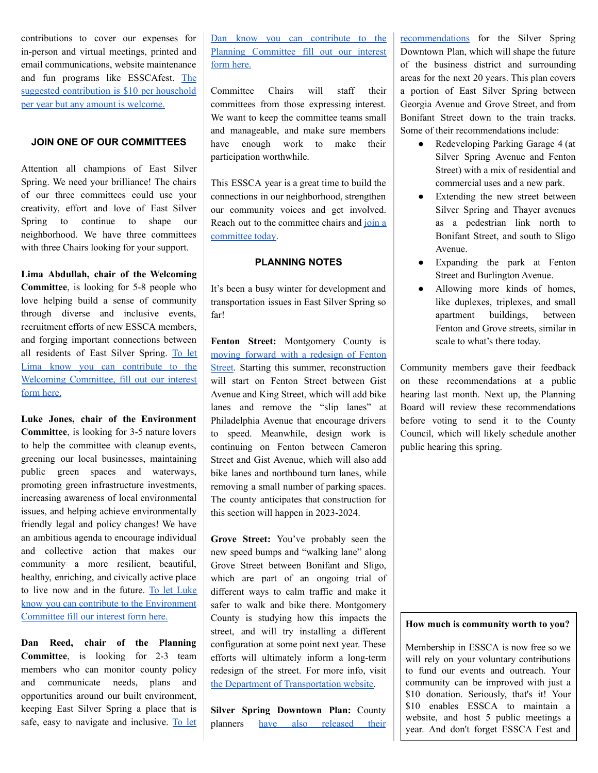contributions to cover our expenses for in-person and virtual meetings, printed and email communications, website maintenance and fun programs like ESSCAfest. [The](https://www.eastsilverspring.org/join) suggested [contribution](https://www.eastsilverspring.org/join) is \$10 per household per year but any amount is [welcome.](https://www.eastsilverspring.org/join)

## **JOIN ONE OF OUR COMMITTEES**

Attention all champions of East Silver Spring. We need your brilliance! The chairs of our three committees could use your creativity, effort and love of East Silver Spring to continue to shape our neighborhood. We have three committees with three Chairs looking for your support.

# **Lima Abdullah, chair of the Welcoming**

**Committee**, is looking for 5-8 people who love helping build a sense of community through diverse and inclusive events, recruitment efforts of new ESSCA members, and forging important connections between all residents of East Silver Spring. [To](https://forms.gle/RD7SybR2ADfBE8B66) let Lima know you can [contribute](https://forms.gle/RD7SybR2ADfBE8B66) to the Welcoming [Committee,](https://forms.gle/RD7SybR2ADfBE8B66) fill out our interest form [here.](https://forms.gle/RD7SybR2ADfBE8B66)

**Luke Jones, chair of the Environment Committee**, is looking for 3-5 nature lovers to help the committee with cleanup events, greening our local businesses, maintaining public green spaces and waterways, promoting green infrastructure investments, increasing awareness of local environmental issues, and helping achieve environmentally friendly legal and policy changes! We have an ambitious agenda to encourage individual and collective action that makes our community a more resilient, beautiful, healthy, enriching, and civically active place to live now and in the future. To let [Luke](https://docs.google.com/forms/d/e/1FAIpQLSdDD2LWl2DuUfqv5797EpzOd190Mnj8k-neKpDP60QNXwkf6w/viewform?fbclid=IwAR1ps09cuiuBz_eDpGgDAXQAMj4VKbBPRf1NtLKOOPbqmYAjw0_YisICaNA) know you can contribute to the [Environment](https://docs.google.com/forms/d/e/1FAIpQLSdDD2LWl2DuUfqv5797EpzOd190Mnj8k-neKpDP60QNXwkf6w/viewform?fbclid=IwAR1ps09cuiuBz_eDpGgDAXQAMj4VKbBPRf1NtLKOOPbqmYAjw0_YisICaNA) [Committee](https://docs.google.com/forms/d/e/1FAIpQLSdDD2LWl2DuUfqv5797EpzOd190Mnj8k-neKpDP60QNXwkf6w/viewform?fbclid=IwAR1ps09cuiuBz_eDpGgDAXQAMj4VKbBPRf1NtLKOOPbqmYAjw0_YisICaNA) fill our interest form here.

**Dan Reed, chair of the Planning Committee**, is looking for 2-3 team members who can monitor county policy and communicate needs, plans and opportunities around our built environment, keeping East Silver Spring a place that is safe, easy to navigate and inclusive. [To](https://forms.gle/RD7SybR2ADfBE8B66) let

Dan know you can [contribute](https://forms.gle/RD7SybR2ADfBE8B66) to the Planning [Committee](https://forms.gle/RD7SybR2ADfBE8B66) fill out our interest [form](https://forms.gle/RD7SybR2ADfBE8B66) here.

Committee Chairs will staff their committees from those expressing interest. We want to keep the committee teams small and manageable, and make sure members have enough work to make their participation worthwhile.

This ESSCA year is a great time to build the connections in our neighborhood, strengthen our community voices and get involved. Reach out to the committee chairs and [join](https://forms.gle/RD7SybR2ADfBE8B66) a [committee](https://forms.gle/RD7SybR2ADfBE8B66) today.

## **PLANNING NOTES**

It's been a busy winter for development and transportation issues in East Silver Spring so far!

**Fenton Street:** Montgomery County is moving forward with a [redesign](https://www.montgomerycountymd.gov/dot-dte/projects/fentonvillage/index.html) of Fenton [Street](https://www.montgomerycountymd.gov/dot-dte/projects/fentonvillage/index.html). Starting this summer, reconstruction will start on Fenton Street between Gist Avenue and King Street, which will add bike lanes and remove the "slip lanes" at Philadelphia Avenue that encourage drivers to speed. Meanwhile, design work is continuing on Fenton between Cameron Street and Gist Avenue, which will also add bike lanes and northbound turn lanes, while removing a small number of parking spaces. The county anticipates that construction for this section will happen in 2023-2024.

**Grove Street:** You've probably seen the new speed bumps and "walking lane" along Grove Street between Bonifant and Sligo, which are part of an ongoing trial of different ways to calm traffic and make it safer to walk and bike there. Montgomery County is studying how this impacts the street, and will try installing a different configuration at some point next year. These efforts will ultimately inform a long-term redesign of the street. For more info, visit the Department of [Transportation](https://www.montgomerycountymd.gov/dot-dte/projects/grovestreet/) website.

**Silver Spring Downtown Plan:** County planners have also [released](https://montgomeryplanning.org/planning/communities/downcounty/silver-spring/silver-spring-downtown-plan/) their

[recommendations](https://montgomeryplanning.org/planning/communities/downcounty/silver-spring/silver-spring-downtown-plan/) for the Silver Spring Downtown Plan, which will shape the future of the business district and surrounding areas for the next 20 years. This plan covers a portion of East Silver Spring between Georgia Avenue and Grove Street, and from Bonifant Street down to the train tracks. Some of their recommendations include:

- Redeveloping Parking Garage 4 (at Silver Spring Avenue and Fenton Street) with a mix of residential and commercial uses and a new park.
- Extending the new street between Silver Spring and Thayer avenues as a pedestrian link north to Bonifant Street, and south to Sligo Avenue.
- Expanding the park at Fenton Street and Burlington Avenue.
- Allowing more kinds of homes, like duplexes, triplexes, and small apartment buildings, between Fenton and Grove streets, similar in scale to what's there today.

Community members gave their feedback on these recommendations at a public hearing last month. Next up, the Planning Board will review these recommendations before voting to send it to the County Council, which will likely schedule another public hearing this spring.

#### **How much is community worth to you?**

Membership in ESSCA is now free so we will rely on your voluntary contributions to fund our events and outreach. Your community can be improved with just a \$10 donation. Seriously, that's it! Your \$10 enables ESSCA to maintain a website, and host 5 public meetings a year. And don't forget ESSCA Fest and